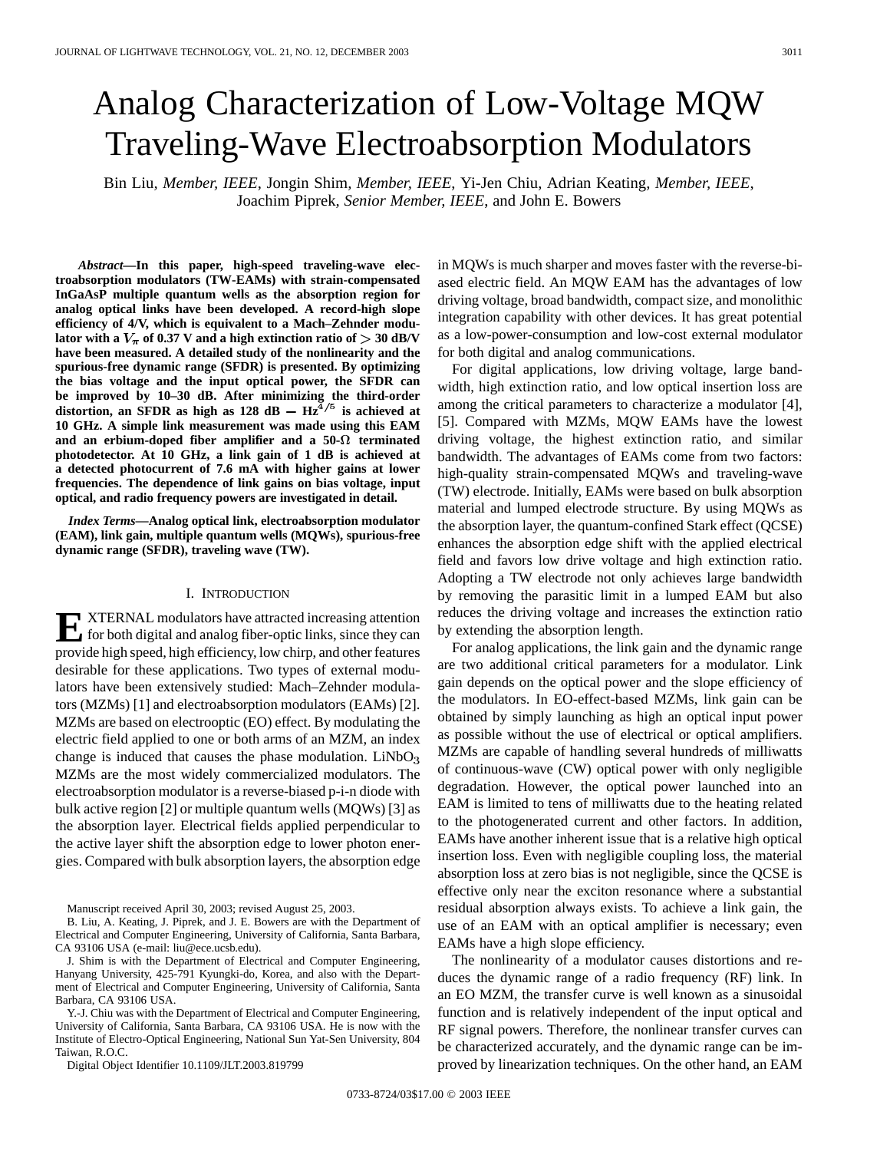# Analog Characterization of Low-Voltage MQW Traveling-Wave Electroabsorption Modulators

Bin Liu*, Member, IEEE*, Jongin Shim*, Member, IEEE*, Yi-Jen Chiu, Adrian Keating*, Member, IEEE*, Joachim Piprek*, Senior Member, IEEE*, and John E. Bowers

*Abstract—***In this paper, high-speed traveling-wave electroabsorption modulators (TW-EAMs) with strain-compensated InGaAsP multiple quantum wells as the absorption region for analog optical links have been developed. A record-high slope efficiency of 4/V, which is equivalent to a Mach–Zehnder modulator with a**  $V_{\pi}$  of 0.37 V and a high extinction ratio of  $>$  30 dB/V **have been measured. A detailed study of the nonlinearity and the spurious-free dynamic range (SFDR) is presented. By optimizing the bias voltage and the input optical power, the SFDR can be improved by 10–30 dB. After minimizing the third-order** distortion, an SFDR as high as  $128$  dB  $- Hz^{\frac{3}{4}/5}$  is achieved at **10 GHz. A simple link measurement was made using this EAM and an erbium-doped fiber amplifier and a 50- terminated photodetector. At 10 GHz, a link gain of 1 dB is achieved at a detected photocurrent of 7.6 mA with higher gains at lower frequencies. The dependence of link gains on bias voltage, input optical, and radio frequency powers are investigated in detail.**

*Index Terms—***Analog optical link, electroabsorption modulator (EAM), link gain, multiple quantum wells (MQWs), spurious-free dynamic range (SFDR), traveling wave (TW).**

#### I. INTRODUCTION

**E** XTERNAL modulators have attracted increasing attention<br>for both digital and analog fiber-optic links, since they can provide high speed, high efficiency, low chirp, and other features desirable for these applications. Two types of external modulators have been extensively studied: Mach–Zehnder modulators (MZMs) [1] and electroabsorption modulators (EAMs) [2]. MZMs are based on electrooptic (EO) effect. By modulating the electric field applied to one or both arms of an MZM, an index change is induced that causes the phase modulation.  $LiNbO<sub>3</sub>$ MZMs are the most widely commercialized modulators. The electroabsorption modulator is a reverse-biased p-i-n diode with bulk active region [2] or multiple quantum wells (MQWs) [3] as the absorption layer. Electrical fields applied perpendicular to the active layer shift the absorption edge to lower photon energies. Compared with bulk absorption layers, the absorption edge

Manuscript received April 30, 2003; revised August 25, 2003.

B. Liu, A. Keating, J. Piprek, and J. E. Bowers are with the Department of Electrical and Computer Engineering, University of California, Santa Barbara, CA 93106 USA (e-mail: liu@ece.ucsb.edu).

J. Shim is with the Department of Electrical and Computer Engineering, Hanyang University, 425-791 Kyungki-do, Korea, and also with the Department of Electrical and Computer Engineering, University of California, Santa Barbara, CA 93106 USA.

Y.-J. Chiu was with the Department of Electrical and Computer Engineering, University of California, Santa Barbara, CA 93106 USA. He is now with the Institute of Electro-Optical Engineering, National Sun Yat-Sen University, 804 Taiwan, R.O.C.

Digital Object Identifier 10.1109/JLT.2003.819799

in MQWs is much sharper and moves faster with the reverse-biased electric field. An MQW EAM has the advantages of low driving voltage, broad bandwidth, compact size, and monolithic integration capability with other devices. It has great potential as a low-power-consumption and low-cost external modulator for both digital and analog communications.

For digital applications, low driving voltage, large bandwidth, high extinction ratio, and low optical insertion loss are among the critical parameters to characterize a modulator [4], [5]. Compared with MZMs, MQW EAMs have the lowest driving voltage, the highest extinction ratio, and similar bandwidth. The advantages of EAMs come from two factors: high-quality strain-compensated MQWs and traveling-wave (TW) electrode. Initially, EAMs were based on bulk absorption material and lumped electrode structure. By using MQWs as the absorption layer, the quantum-confined Stark effect (QCSE) enhances the absorption edge shift with the applied electrical field and favors low drive voltage and high extinction ratio. Adopting a TW electrode not only achieves large bandwidth by removing the parasitic limit in a lumped EAM but also reduces the driving voltage and increases the extinction ratio by extending the absorption length.

For analog applications, the link gain and the dynamic range are two additional critical parameters for a modulator. Link gain depends on the optical power and the slope efficiency of the modulators. In EO-effect-based MZMs, link gain can be obtained by simply launching as high an optical input power as possible without the use of electrical or optical amplifiers. MZMs are capable of handling several hundreds of milliwatts of continuous-wave (CW) optical power with only negligible degradation. However, the optical power launched into an EAM is limited to tens of milliwatts due to the heating related to the photogenerated current and other factors. In addition, EAMs have another inherent issue that is a relative high optical insertion loss. Even with negligible coupling loss, the material absorption loss at zero bias is not negligible, since the QCSE is effective only near the exciton resonance where a substantial residual absorption always exists. To achieve a link gain, the use of an EAM with an optical amplifier is necessary; even EAMs have a high slope efficiency.

The nonlinearity of a modulator causes distortions and reduces the dynamic range of a radio frequency (RF) link. In an EO MZM, the transfer curve is well known as a sinusoidal function and is relatively independent of the input optical and RF signal powers. Therefore, the nonlinear transfer curves can be characterized accurately, and the dynamic range can be improved by linearization techniques. On the other hand, an EAM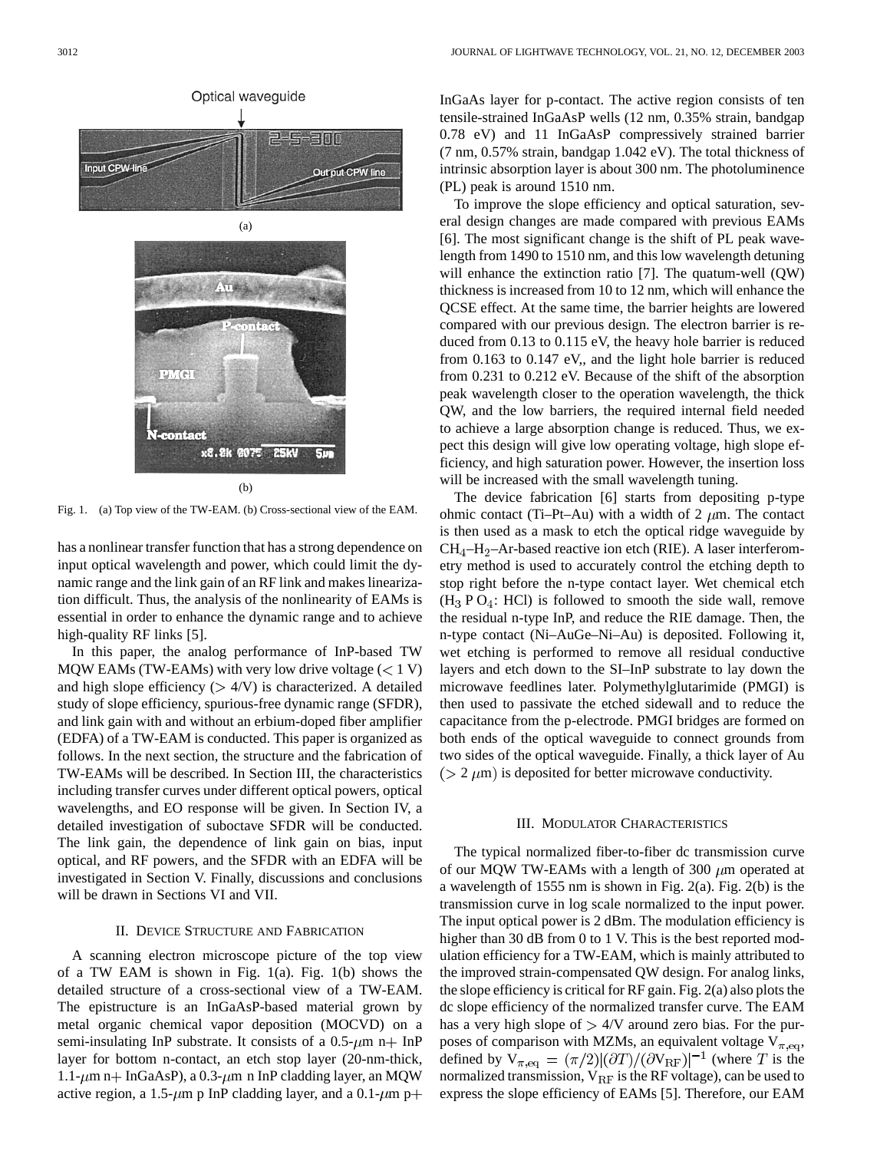

Fig. 1. (a) Top view of the TW-EAM. (b) Cross-sectional view of the EAM.

has a nonlinear transfer function that has a strong dependence on input optical wavelength and power, which could limit the dynamic range and the link gain of an RF link and makes linearization difficult. Thus, the analysis of the nonlinearity of EAMs is essential in order to enhance the dynamic range and to achieve high-quality RF links [5].

In this paper, the analog performance of InP-based TW MQW EAMs (TW-EAMs) with very low drive voltage  $(< 1 V)$ and high slope efficiency  $( > 4/V)$  is characterized. A detailed study of slope efficiency, spurious-free dynamic range (SFDR), and link gain with and without an erbium-doped fiber amplifier (EDFA) of a TW-EAM is conducted. This paper is organized as follows. In the next section, the structure and the fabrication of TW-EAMs will be described. In Section III, the characteristics including transfer curves under different optical powers, optical wavelengths, and EO response will be given. In Section IV, a detailed investigation of suboctave SFDR will be conducted. The link gain, the dependence of link gain on bias, input optical, and RF powers, and the SFDR with an EDFA will be investigated in Section V. Finally, discussions and conclusions will be drawn in Sections VI and VII.

#### II. DEVICE STRUCTURE AND FABRICATION

A scanning electron microscope picture of the top view of a TW EAM is shown in Fig. 1(a). Fig. 1(b) shows the detailed structure of a cross-sectional view of a TW-EAM. The epistructure is an InGaAsP-based material grown by metal organic chemical vapor deposition (MOCVD) on a semi-insulating InP substrate. It consists of a  $0.5-\mu m$  n+ InP layer for bottom n-contact, an etch stop layer (20-nm-thick, 1.1- $\mu$ m n + InGaAsP), a 0.3- $\mu$ m n InP cladding layer, an MQW active region, a 1.5- $\mu$ m p InP cladding layer, and a 0.1- $\mu$ m p+ InGaAs layer for p-contact. The active region consists of ten tensile-strained InGaAsP wells (12 nm, 0.35% strain, bandgap 0.78 eV) and 11 InGaAsP compressively strained barrier (7 nm, 0.57% strain, bandgap 1.042 eV). The total thickness of intrinsic absorption layer is about 300 nm. The photoluminence (PL) peak is around 1510 nm.

To improve the slope efficiency and optical saturation, several design changes are made compared with previous EAMs [6]. The most significant change is the shift of PL peak wavelength from 1490 to 1510 nm, and this low wavelength detuning will enhance the extinction ratio [7]. The quatum-well (QW) thickness is increased from 10 to 12 nm, which will enhance the QCSE effect. At the same time, the barrier heights are lowered compared with our previous design. The electron barrier is reduced from 0.13 to 0.115 eV, the heavy hole barrier is reduced from 0.163 to 0.147 eV,, and the light hole barrier is reduced from 0.231 to 0.212 eV. Because of the shift of the absorption peak wavelength closer to the operation wavelength, the thick QW, and the low barriers, the required internal field needed to achieve a large absorption change is reduced. Thus, we expect this design will give low operating voltage, high slope efficiency, and high saturation power. However, the insertion loss will be increased with the small wavelength tuning.

The device fabrication [6] starts from depositing p-type ohmic contact (Ti–Pt–Au) with a width of 2  $\mu$ m. The contact is then used as a mask to etch the optical ridge waveguide by  $CH_4-H_2-Ar$ -based reactive ion etch (RIE). A laser interferometry method is used to accurately control the etching depth to stop right before the n-type contact layer. Wet chemical etch  $(H<sub>3</sub> P O<sub>4</sub>: HCl)$  is followed to smooth the side wall, remove the residual n-type InP, and reduce the RIE damage. Then, the n-type contact (Ni–AuGe–Ni–Au) is deposited. Following it, wet etching is performed to remove all residual conductive layers and etch down to the SI–InP substrate to lay down the microwave feedlines later. Polymethylglutarimide (PMGI) is then used to passivate the etched sidewall and to reduce the capacitance from the p-electrode. PMGI bridges are formed on both ends of the optical waveguide to connect grounds from two sides of the optical waveguide. Finally, a thick layer of Au  $(2 \mu m)$  is deposited for better microwave conductivity.

#### III. MODULATOR CHARACTERISTICS

The typical normalized fiber-to-fiber dc transmission curve of our MQW TW-EAMs with a length of 300  $\mu$ m operated at a wavelength of 1555 nm is shown in Fig. 2(a). Fig. 2(b) is the transmission curve in log scale normalized to the input power. The input optical power is 2 dBm. The modulation efficiency is higher than 30 dB from 0 to 1 V. This is the best reported modulation efficiency for a TW-EAM, which is mainly attributed to the improved strain-compensated QW design. For analog links, the slope efficiency is critical for RF gain. Fig. 2(a) also plots the dc slope efficiency of the normalized transfer curve. The EAM has a very high slope of  $> 4/V$  around zero bias. For the purposes of comparison with MZMs, an equivalent voltage  $V_{\pi, eq}$ , defined by  $V_{\pi,eq} = (\pi/2)[(\partial T)/(\partial V_{RF})]^{-1}$  (where T is the normalized transmission,  $V_{RF}$  is the RF voltage), can be used to express the slope efficiency of EAMs [5]. Therefore, our EAM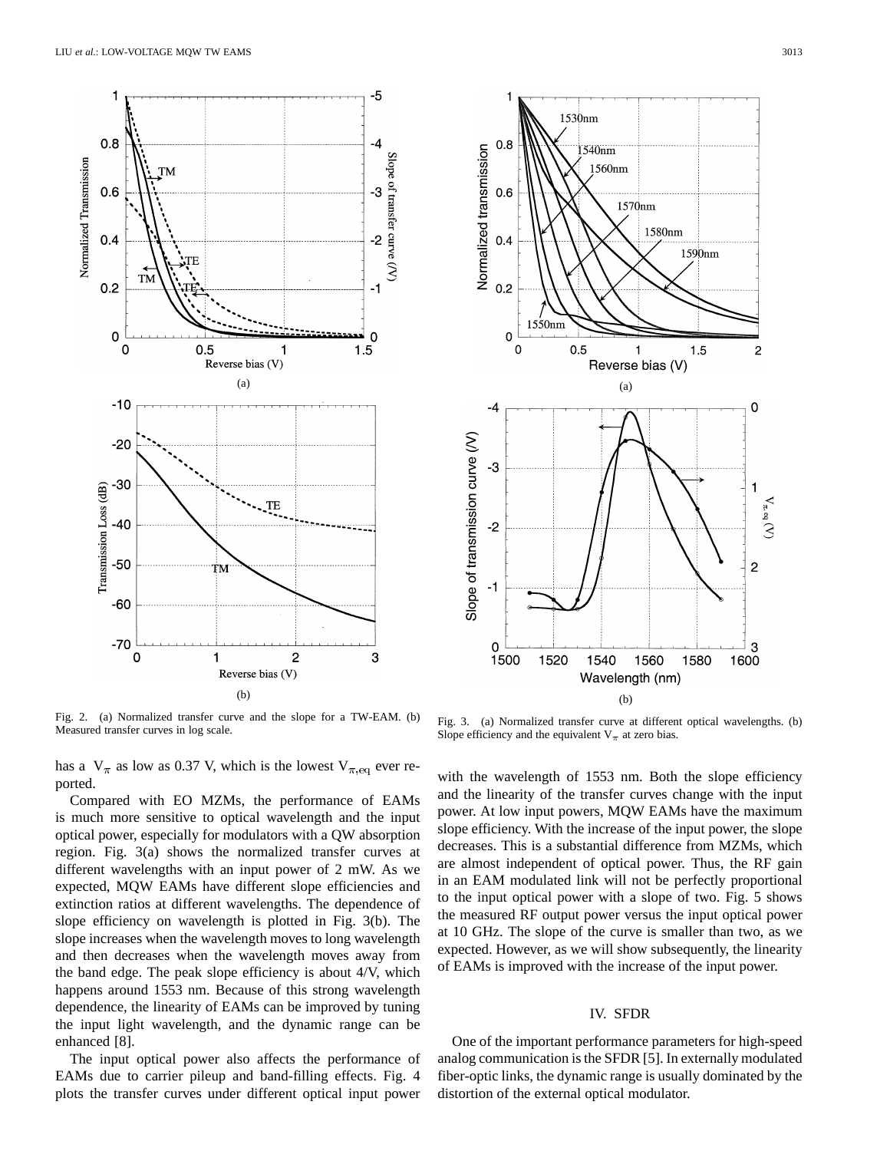

Fig. 2. (a) Normalized transfer curve and the slope for a TW-EAM. (b) Measured transfer curves in log scale.

has a  $V_{\pi}$  as low as 0.37 V, which is the lowest  $V_{\pi,\text{eq}}$  ever reported.

Compared with EO MZMs, the performance of EAMs is much more sensitive to optical wavelength and the input optical power, especially for modulators with a QW absorption region. Fig. 3(a) shows the normalized transfer curves at different wavelengths with an input power of 2 mW. As we expected, MQW EAMs have different slope efficiencies and extinction ratios at different wavelengths. The dependence of slope efficiency on wavelength is plotted in Fig. 3(b). The slope increases when the wavelength moves to long wavelength and then decreases when the wavelength moves away from the band edge. The peak slope efficiency is about 4/V, which happens around 1553 nm. Because of this strong wavelength dependence, the linearity of EAMs can be improved by tuning the input light wavelength, and the dynamic range can be enhanced [8].

The input optical power also affects the performance of EAMs due to carrier pileup and band-filling effects. Fig. 4 plots the transfer curves under different optical input power



Fig. 3. (a) Normalized transfer curve at different optical wavelengths. (b) Slope efficiency and the equivalent  $V_{\pi}$  at zero bias.

with the wavelength of 1553 nm. Both the slope efficiency and the linearity of the transfer curves change with the input power. At low input powers, MQW EAMs have the maximum slope efficiency. With the increase of the input power, the slope decreases. This is a substantial difference from MZMs, which are almost independent of optical power. Thus, the RF gain in an EAM modulated link will not be perfectly proportional to the input optical power with a slope of two. Fig. 5 shows the measured RF output power versus the input optical power at 10 GHz. The slope of the curve is smaller than two, as we expected. However, as we will show subsequently, the linearity of EAMs is improved with the increase of the input power.

#### IV. SFDR

One of the important performance parameters for high-speed analog communication is the SFDR [5]. In externally modulated fiber-optic links, the dynamic range is usually dominated by the distortion of the external optical modulator.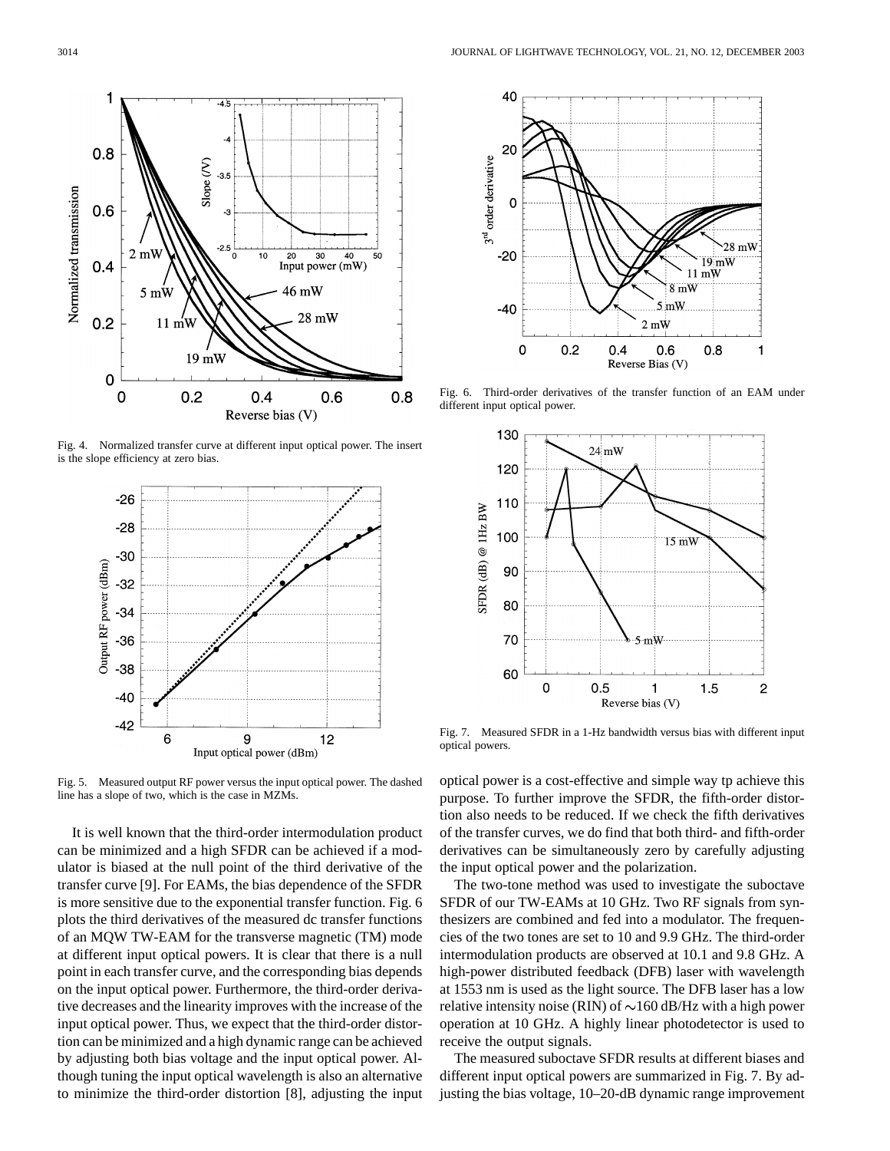

Fig. 4. Normalized transfer curve at different input optical power. The insert is the slope efficiency at zero bias.



Fig. 5. Measured output RF power versus the input optical power. The dashed line has a slope of two, which is the case in MZMs.

It is well known that the third-order intermodulation product can be minimized and a high SFDR can be achieved if a modulator is biased at the null point of the third derivative of the transfer curve [9]. For EAMs, the bias dependence of the SFDR is more sensitive due to the exponential transfer function. Fig. 6 plots the third derivatives of the measured dc transfer functions of an MQW TW-EAM for the transverse magnetic (TM) mode at different input optical powers. It is clear that there is a null point in each transfer curve, and the corresponding bias depends on the input optical power. Furthermore, the third-order derivative decreases and the linearity improves with the increase of the input optical power. Thus, we expect that the third-order distortion can be minimized and a high dynamic range can be achieved by adjusting both bias voltage and the input optical power. Although tuning the input optical wavelength is also an alternative to minimize the third-order distortion [8], adjusting the input



Fig. 6. Third-order derivatives of the transfer function of an EAM under different input optical power.



Fig. 7. Measured SFDR in a 1-Hz bandwidth versus bias with different input optical powers.

optical power is a cost-effective and simple way tp achieve this purpose. To further improve the SFDR, the fifth-order distortion also needs to be reduced. If we check the fifth derivatives of the transfer curves, we do find that both third- and fifth-order derivatives can be simultaneously zero by carefully adjusting the input optical power and the polarization.

The two-tone method was used to investigate the suboctave SFDR of our TW-EAMs at 10 GHz. Two RF signals from synthesizers are combined and fed into a modulator. The frequencies of the two tones are set to 10 and 9.9 GHz. The third-order intermodulation products are observed at 10.1 and 9.8 GHz. A high-power distributed feedback (DFB) laser with wavelength at 1553 nm is used as the light source. The DFB laser has a low relative intensity noise (RIN) of  $\sim$ 160 dB/Hz with a high power operation at 10 GHz. A highly linear photodetector is used to receive the output signals.

The measured suboctave SFDR results at different biases and different input optical powers are summarized in Fig. 7. By adjusting the bias voltage, 10–20-dB dynamic range improvement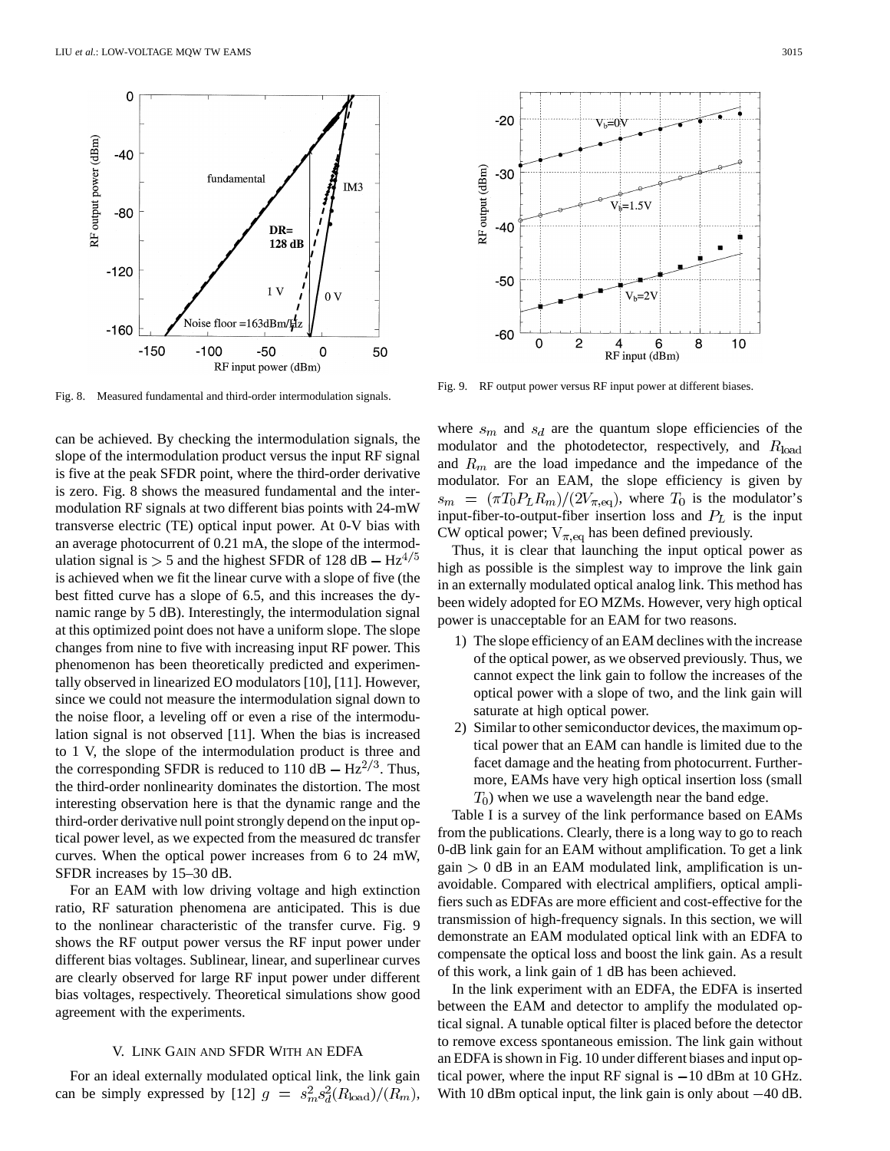

Fig. 8. Measured fundamental and third-order intermodulation signals.

can be achieved. By checking the intermodulation signals, the slope of the intermodulation product versus the input RF signal is five at the peak SFDR point, where the third-order derivative is zero. Fig. 8 shows the measured fundamental and the intermodulation RF signals at two different bias points with 24-mW transverse electric (TE) optical input power. At 0-V bias with an average photocurrent of 0.21 mA, the slope of the intermodulation signal is  $> 5$  and the highest SFDR of 128 dB – Hz<sup>4/5</sup> is achieved when we fit the linear curve with a slope of five (the best fitted curve has a slope of 6.5, and this increases the dynamic range by 5 dB). Interestingly, the intermodulation signal at this optimized point does not have a uniform slope. The slope changes from nine to five with increasing input RF power. This phenomenon has been theoretically predicted and experimentally observed in linearized EO modulators [10], [11]. However, since we could not measure the intermodulation signal down to the noise floor, a leveling off or even a rise of the intermodulation signal is not observed [11]. When the bias is increased to 1 V, the slope of the intermodulation product is three and the corresponding SFDR is reduced to 110 dB  $- Hz^{2/3}$ . Thus, the third-order nonlinearity dominates the distortion. The most interesting observation here is that the dynamic range and the third-order derivative null point strongly depend on the input optical power level, as we expected from the measured dc transfer curves. When the optical power increases from 6 to 24 mW, SFDR increases by 15–30 dB.

For an EAM with low driving voltage and high extinction ratio, RF saturation phenomena are anticipated. This is due to the nonlinear characteristic of the transfer curve. Fig. 9 shows the RF output power versus the RF input power under different bias voltages. Sublinear, linear, and superlinear curves are clearly observed for large RF input power under different bias voltages, respectively. Theoretical simulations show good agreement with the experiments.

## V. LINK GAIN AND SFDR WITH AN EDFA

For an ideal externally modulated optical link, the link gain can be simply expressed by [12]  $g = s_m^2 s_d^2(R_{\text{load}})/(R_m)$ ,



Fig. 9. RF output power versus RF input power at different biases.

where  $s_m$  and  $s_d$  are the quantum slope efficiencies of the modulator and the photodetector, respectively, and  $R_{\text{load}}$ and  $R_m$  are the load impedance and the impedance of the modulator. For an EAM, the slope efficiency is given by  $s_m = (\pi T_0 P_L R_m)/(2V_{\pi,\text{eq}})$ , where  $T_0$  is the modulator's input-fiber-to-output-fiber insertion loss and  $P<sub>L</sub>$  is the input CW optical power;  $V_{\pi, eq}$  has been defined previously.

Thus, it is clear that launching the input optical power as high as possible is the simplest way to improve the link gain in an externally modulated optical analog link. This method has been widely adopted for EO MZMs. However, very high optical power is unacceptable for an EAM for two reasons.

- 1) The slope efficiency of an EAM declines with the increase of the optical power, as we observed previously. Thus, we cannot expect the link gain to follow the increases of the optical power with a slope of two, and the link gain will saturate at high optical power.
- 2) Similar to other semiconductor devices, the maximum optical power that an EAM can handle is limited due to the facet damage and the heating from photocurrent. Furthermore, EAMs have very high optical insertion loss (small  $(T<sub>0</sub>)$  when we use a wavelength near the band edge.

Table I is a survey of the link performance based on EAMs from the publications. Clearly, there is a long way to go to reach 0-dB link gain for an EAM without amplification. To get a link  $gain > 0$  dB in an EAM modulated link, amplification is unavoidable. Compared with electrical amplifiers, optical amplifiers such as EDFAs are more efficient and cost-effective for the transmission of high-frequency signals. In this section, we will demonstrate an EAM modulated optical link with an EDFA to compensate the optical loss and boost the link gain. As a result of this work, a link gain of 1 dB has been achieved.

In the link experiment with an EDFA, the EDFA is inserted between the EAM and detector to amplify the modulated optical signal. A tunable optical filter is placed before the detector to remove excess spontaneous emission. The link gain without an EDFA is shown in Fig. 10 under different biases and input optical power, where the input RF signal is  $-10$  dBm at 10 GHz. With 10 dBm optical input, the link gain is only about  $-40$  dB.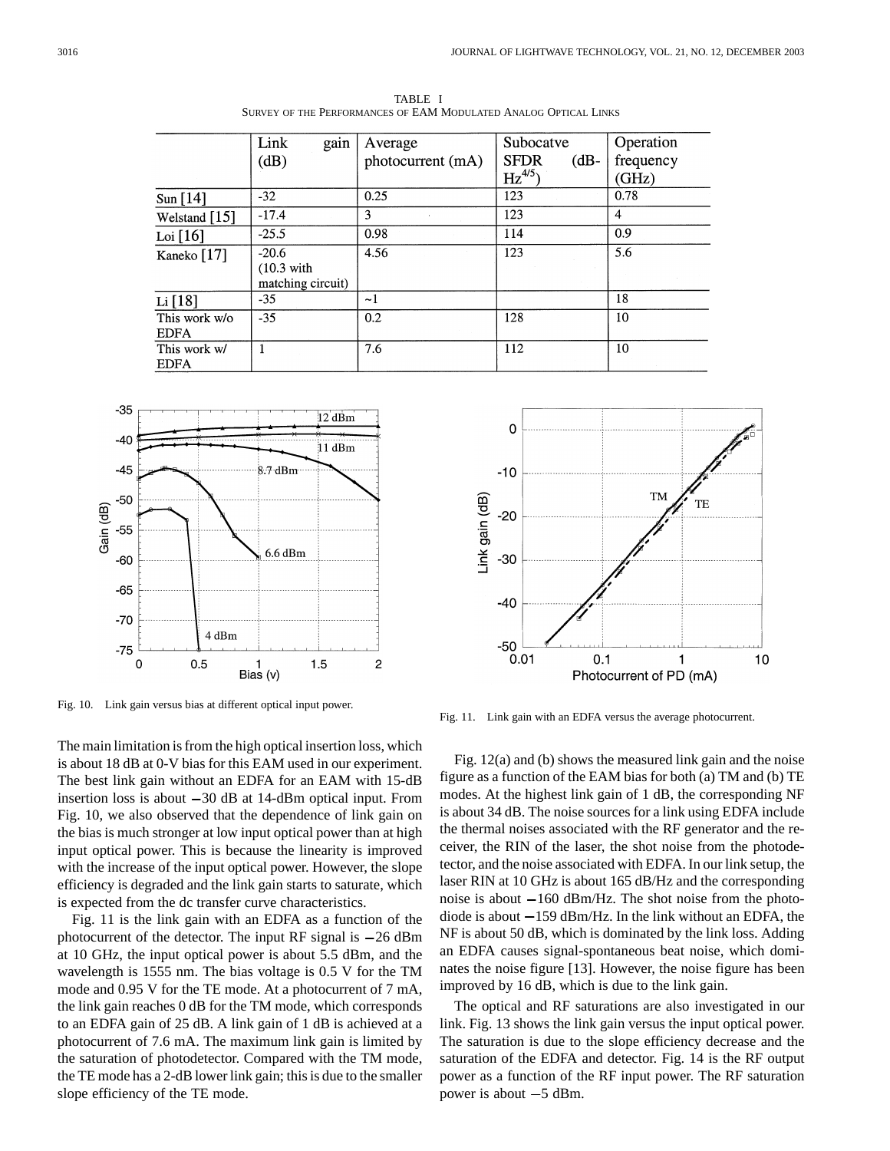|                 | Link<br>gain                               | Average           | Subocatve              | Operation      |
|-----------------|--------------------------------------------|-------------------|------------------------|----------------|
|                 | (dB)                                       | photocurrent (mA) | <b>SFDR</b><br>$(dB -$ | frequency      |
|                 |                                            |                   | $\text{Hz}^{4/5}$      | (GHz)          |
| Sun [14]        | $-32$                                      | 0.25              | 123                    | 0.78           |
| Welstand $[15]$ | $-17.4$                                    | 3                 | 123                    | $\overline{4}$ |
| Loi [16]        | $-25.5$                                    | 0.98              | 114                    | 0.9            |
| Kaneko [17]     | $-20.6$                                    | 4.56              | 123                    | 5.6            |
|                 | $(10.3 \text{ with})$<br>matching circuit) |                   |                        |                |
| Li [18]         | $-35$                                      | $-1$              |                        | 18             |
| This work w/o   | $-35$                                      | 0.2               | 128                    | 10             |
| EDFA            |                                            |                   |                        |                |
| This work w/    |                                            | 7.6               | 112                    | 10             |
| <b>FDFA</b>     |                                            |                   |                        |                |

TABLE I SURVEY OF THE PERFORMANCES OF EAM MODULATED ANALOG OPTICAL LINKS



Fig. 10. Link gain versus bias at different optical input power.

The main limitation is from the high optical insertion loss, which is about 18 dB at 0-V bias for this EAM used in our experiment. The best link gain without an EDFA for an EAM with 15-dB insertion loss is about  $-30$  dB at 14-dBm optical input. From Fig. 10, we also observed that the dependence of link gain on the bias is much stronger at low input optical power than at high input optical power. This is because the linearity is improved with the increase of the input optical power. However, the slope efficiency is degraded and the link gain starts to saturate, which is expected from the dc transfer curve characteristics.

Fig. 11 is the link gain with an EDFA as a function of the photocurrent of the detector. The input RF signal is  $-26$  dBm at 10 GHz, the input optical power is about 5.5 dBm, and the wavelength is 1555 nm. The bias voltage is 0.5 V for the TM mode and 0.95 V for the TE mode. At a photocurrent of 7 mA, the link gain reaches 0 dB for the TM mode, which corresponds to an EDFA gain of 25 dB. A link gain of 1 dB is achieved at a photocurrent of 7.6 mA. The maximum link gain is limited by the saturation of photodetector. Compared with the TM mode, the TE mode has a 2-dB lower link gain; this is due to the smaller slope efficiency of the TE mode.



Fig. 11. Link gain with an EDFA versus the average photocurrent.

Fig. 12(a) and (b) shows the measured link gain and the noise figure as a function of the EAM bias for both (a) TM and (b) TE modes. At the highest link gain of 1 dB, the corresponding NF is about 34 dB. The noise sources for a link using EDFA include the thermal noises associated with the RF generator and the receiver, the RIN of the laser, the shot noise from the photodetector, and the noise associated with EDFA. In our link setup, the laser RIN at 10 GHz is about 165 dB/Hz and the corresponding noise is about  $-160$  dBm/Hz. The shot noise from the photodiode is about  $-159$  dBm/Hz. In the link without an EDFA, the NF is about 50 dB, which is dominated by the link loss. Adding an EDFA causes signal-spontaneous beat noise, which dominates the noise figure [13]. However, the noise figure has been improved by 16 dB, which is due to the link gain.

The optical and RF saturations are also investigated in our link. Fig. 13 shows the link gain versus the input optical power. The saturation is due to the slope efficiency decrease and the saturation of the EDFA and detector. Fig. 14 is the RF output power as a function of the RF input power. The RF saturation power is about  $-5$  dBm.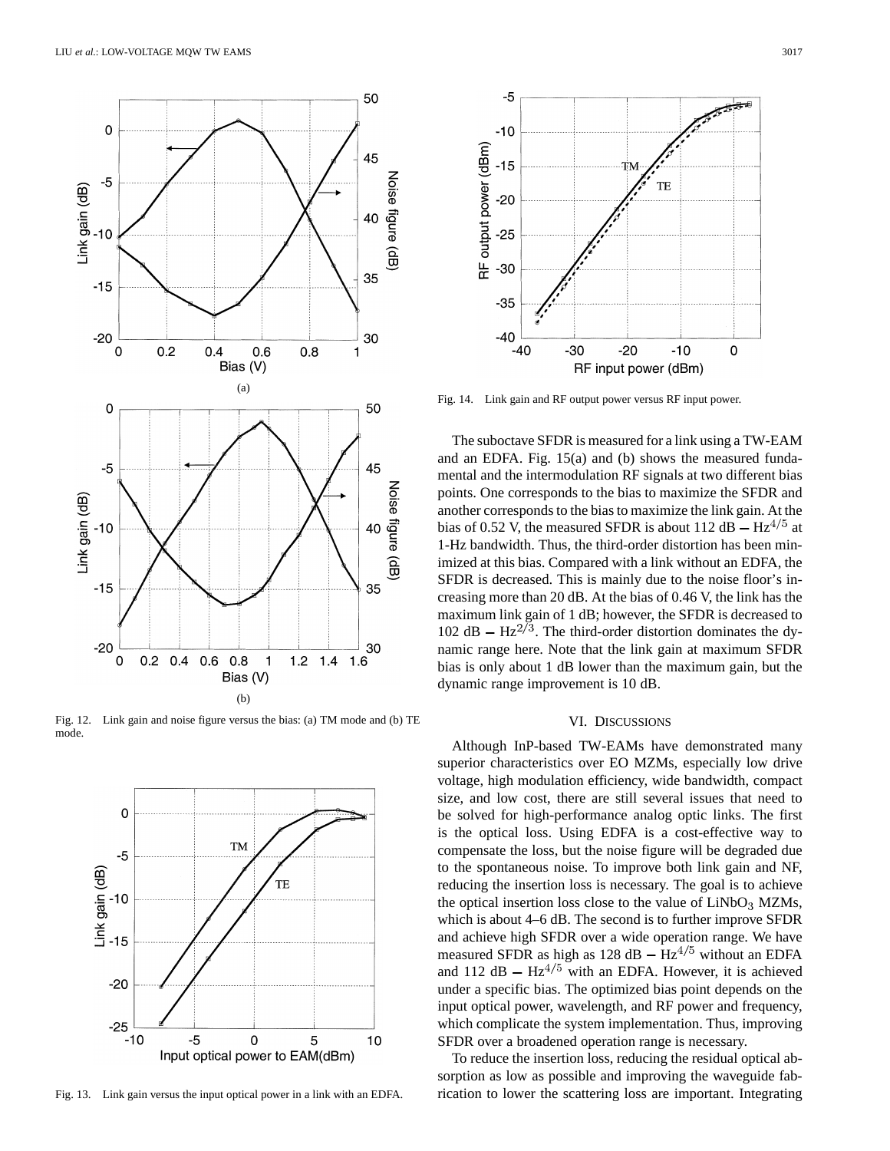

Fig. 12. Link gain and noise figure versus the bias: (a) TM mode and (b) TE mode.



Fig. 13. Link gain versus the input optical power in a link with an EDFA.



Fig. 14. Link gain and RF output power versus RF input power.

The suboctave SFDR is measured for a link using a TW-EAM and an EDFA. Fig. 15(a) and (b) shows the measured fundamental and the intermodulation RF signals at two different bias points. One corresponds to the bias to maximize the SFDR and another corresponds to the bias to maximize the link gain. At the bias of 0.52 V, the measured SFDR is about 112 dB  $- Hz^{4/5}$  at 1-Hz bandwidth. Thus, the third-order distortion has been minimized at this bias. Compared with a link without an EDFA, the SFDR is decreased. This is mainly due to the noise floor's increasing more than 20 dB. At the bias of 0.46 V, the link has the maximum link gain of 1 dB; however, the SFDR is decreased to 102 dB  $- Hz^{2/3}$ . The third-order distortion dominates the dynamic range here. Note that the link gain at maximum SFDR bias is only about 1 dB lower than the maximum gain, but the dynamic range improvement is 10 dB.

### VI. DISCUSSIONS

Although InP-based TW-EAMs have demonstrated many superior characteristics over EO MZMs, especially low drive voltage, high modulation efficiency, wide bandwidth, compact size, and low cost, there are still several issues that need to be solved for high-performance analog optic links. The first is the optical loss. Using EDFA is a cost-effective way to compensate the loss, but the noise figure will be degraded due to the spontaneous noise. To improve both link gain and NF, reducing the insertion loss is necessary. The goal is to achieve the optical insertion loss close to the value of  $LiNbO<sub>3</sub>$  MZMs, which is about 4–6 dB. The second is to further improve SFDR and achieve high SFDR over a wide operation range. We have measured SFDR as high as 128 dB  $- Hz^{4/5}$  without an EDFA and 112 dB  $- Hz^{4/5}$  with an EDFA. However, it is achieved under a specific bias. The optimized bias point depends on the input optical power, wavelength, and RF power and frequency, which complicate the system implementation. Thus, improving SFDR over a broadened operation range is necessary.

To reduce the insertion loss, reducing the residual optical absorption as low as possible and improving the waveguide fabrication to lower the scattering loss are important. Integrating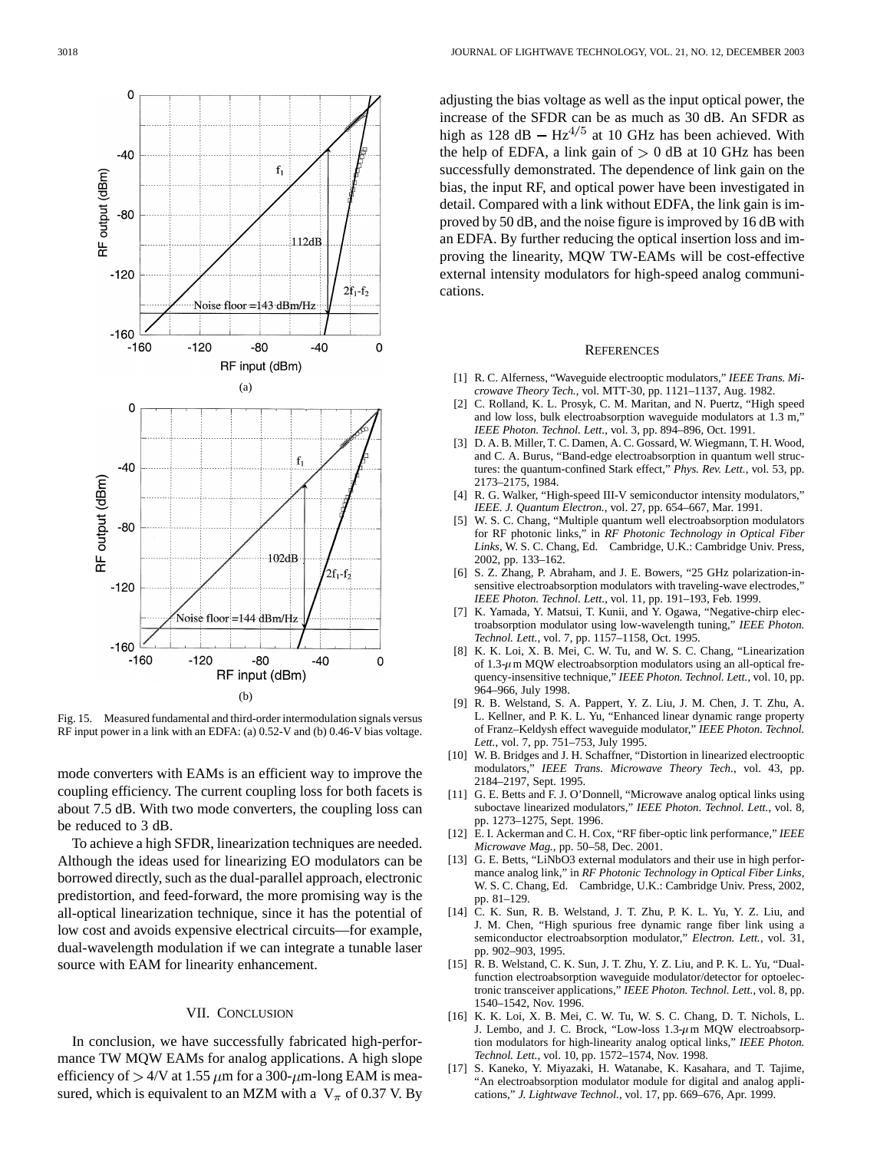

Fig. 15. Measured fundamental and third-order intermodulation signals versus RF input power in a link with an EDFA: (a) 0.52-V and (b) 0.46-V bias voltage.

mode converters with EAMs is an efficient way to improve the coupling efficiency. The current coupling loss for both facets is about 7.5 dB. With two mode converters, the coupling loss can be reduced to 3 dB.

To achieve a high SFDR, linearization techniques are needed. Although the ideas used for linearizing EO modulators can be borrowed directly, such as the dual-parallel approach, electronic predistortion, and feed-forward, the more promising way is the all-optical linearization technique, since it has the potential of low cost and avoids expensive electrical circuits—for example, dual-wavelength modulation if we can integrate a tunable laser source with EAM for linearity enhancement.

#### VII. CONCLUSION

In conclusion, we have successfully fabricated high-performance TW MQW EAMs for analog applications. A high slope efficiency of  $> 4$ /V at 1.55  $\mu$ m for a 300- $\mu$ m-long EAM is measured, which is equivalent to an MZM with a  $V_{\pi}$  of 0.37 V. By adjusting the bias voltage as well as the input optical power, the increase of the SFDR can be as much as 30 dB. An SFDR as high as 128 dB  $- Hz^{4/5}$  at 10 GHz has been achieved. With the help of EDFA, a link gain of  $> 0$  dB at 10 GHz has been successfully demonstrated. The dependence of link gain on the bias, the input RF, and optical power have been investigated in detail. Compared with a link without EDFA, the link gain is improved by 50 dB, and the noise figure is improved by 16 dB with an EDFA. By further reducing the optical insertion loss and improving the linearity, MQW TW-EAMs will be cost-effective external intensity modulators for high-speed analog communications.

### **REFERENCES**

- [1] R. C. Alferness, "Waveguide electrooptic modulators," *IEEE Trans. Microwave Theory Tech.*, vol. MTT-30, pp. 1121–1137, Aug. 1982.
- [2] C. Rolland, K. L. Prosyk, C. M. Maritan, and N. Puertz, "High speed and low loss, bulk electroabsorption waveguide modulators at 1.3 m," *IEEE Photon. Technol. Lett.*, vol. 3, pp. 894–896, Oct. 1991.
- [3] D. A. B. Miller, T. C. Damen, A. C. Gossard, W. Wiegmann, T. H. Wood, and C. A. Burus, "Band-edge electroabsorption in quantum well structures: the quantum-confined Stark effect," *Phys. Rev. Lett.*, vol. 53, pp. 2173–2175, 1984.
- [4] R. G. Walker, "High-speed III-V semiconductor intensity modulators," *IEEE. J. Quantum Electron.*, vol. 27, pp. 654–667, Mar. 1991.
- [5] W. S. C. Chang, "Multiple quantum well electroabsorption modulators for RF photonic links," in *RF Photonic Technology in Optical Fiber Links*, W. S. C. Chang, Ed. Cambridge, U.K.: Cambridge Univ. Press, 2002, pp. 133–162.
- [6] S. Z. Zhang, P. Abraham, and J. E. Bowers, "25 GHz polarization-insensitive electroabsorption modulators with traveling-wave electrodes," *IEEE Photon. Technol. Lett.*, vol. 11, pp. 191–193, Feb. 1999.
- [7] K. Yamada, Y. Matsui, T. Kunii, and Y. Ogawa, "Negative-chirp electroabsorption modulator using low-wavelength tuning," *IEEE Photon. Technol. Lett.*, vol. 7, pp. 1157–1158, Oct. 1995.
- [8] K. K. Loi, X. B. Mei, C. W. Tu, and W. S. C. Chang, "Linearization of 1.3- $\mu$ m MQW electroabsorption modulators using an all-optical frequency-insensitive technique," *IEEE Photon. Technol. Lett.*, vol. 10, pp. 964–966, July 1998.
- [9] R. B. Welstand, S. A. Pappert, Y. Z. Liu, J. M. Chen, J. T. Zhu, A. L. Kellner, and P. K. L. Yu, "Enhanced linear dynamic range property of Franz–Keldysh effect waveguide modulator," *IEEE Photon. Technol. Lett.*, vol. 7, pp. 751–753, July 1995.
- [10] W. B. Bridges and J. H. Schaffner, "Distortion in linearized electrooptic modulators," *IEEE Trans. Microwave Theory Tech.*, vol. 43, pp. 2184–2197, Sept. 1995.
- [11] G. E. Betts and F. J. O'Donnell, "Microwave analog optical links using suboctave linearized modulators," *IEEE Photon. Technol. Lett.*, vol. 8, pp. 1273–1275, Sept. 1996.
- [12] E. I. Ackerman and C. H. Cox, "RF fiber-optic link performance," *IEEE Microwave Mag.*, pp. 50–58, Dec. 2001.
- [13] G. E. Betts, "LiNbO3 external modulators and their use in high performance analog link," in *RF Photonic Technology in Optical Fiber Links*, W. S. C. Chang, Ed. Cambridge, U.K.: Cambridge Univ. Press, 2002, pp. 81–129.
- [14] C. K. Sun, R. B. Welstand, J. T. Zhu, P. K. L. Yu, Y. Z. Liu, and J. M. Chen, "High spurious free dynamic range fiber link using a semiconductor electroabsorption modulator," *Electron. Lett.*, vol. 31, pp. 902–903, 1995.
- [15] R. B. Welstand, C. K. Sun, J. T. Zhu, Y. Z. Liu, and P. K. L. Yu, "Dualfunction electroabsorption waveguide modulator/detector for optoelectronic transceiver applications," *IEEE Photon. Technol. Lett.*, vol. 8, pp. 1540–1542, Nov. 1996.
- [16] K. K. Loi, X. B. Mei, C. W. Tu, W. S. C. Chang, D. T. Nichols, L. J. Lembo, and J. C. Brock, "Low-loss  $1.3-\mu$ m MQW electroabsorption modulators for high-linearity analog optical links," *IEEE Photon. Technol. Lett.*, vol. 10, pp. 1572–1574, Nov. 1998.
- [17] S. Kaneko, Y. Miyazaki, H. Watanabe, K. Kasahara, and T. Tajime, "An electroabsorption modulator module for digital and analog applications," *J. Lightwave Technol.*, vol. 17, pp. 669–676, Apr. 1999.